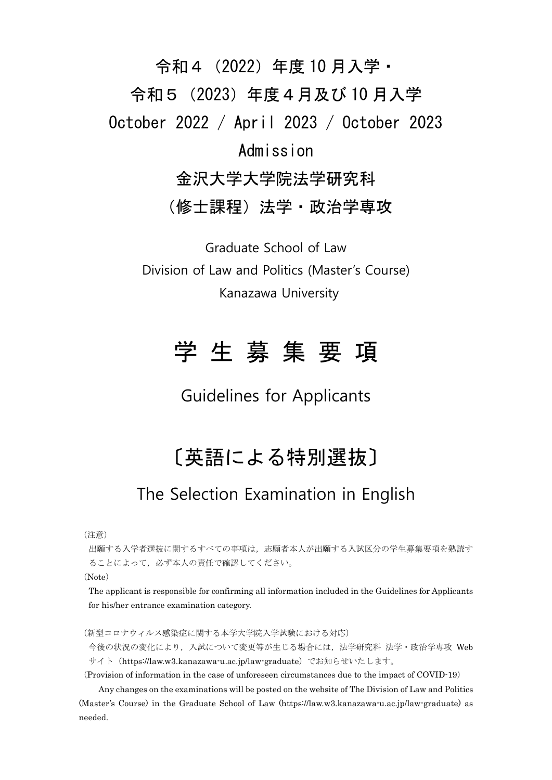# 令和4(2022)年度 10 月入学・ 令和5(2023)年度4月及び 10 月入学 October 2022 / April 2023 / October 2023 Admission 金沢大学大学院法学研究科

(修士課程) 法学・政治学専攻

Graduate School of Law Division of Law and Politics (Master's Course) Kanazawa University

# 学 生 募 集 要 項

Guidelines for Applicants

## 〔英語による特別選抜〕

## The Selection Examination in English

(注意)

出願する入学者選抜に関するすべての事項は,志願者本人が出願する入試区分の学生募集要項を熟読す ることによって,必ず本人の責任で確認してください。

(Note)

The applicant is responsible for confirming all information included in the Guidelines for Applicants for his/her entrance examination category.

(新型コロナウィルス感染症に関する本学大学院入学試験における対応)

今後の状況の変化により,入試について変更等が生じる場合には,法学研究科 法学・政治学専攻 Web サイト(https://law.w3.kanazawa-u.ac.jp/law-graduate)でお知らせいたします。

(Provision of information in the case of unforeseen circumstances due to the impact of COVID-19)

Any changes on the examinations will be posted on the website of The Division of Law and Politics (Master's Course) in the Graduate School of Law (https://law.w3.kanazawa-u.ac.jp/law-graduate) as needed.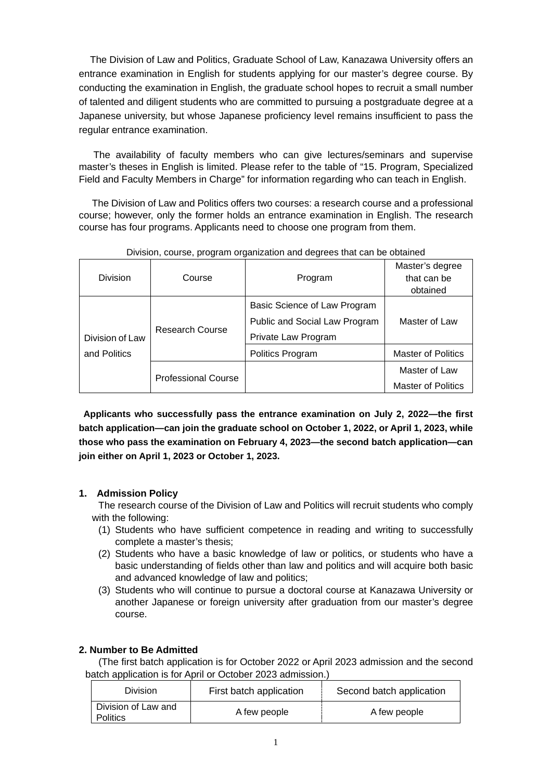The Division of Law and Politics, Graduate School of Law, Kanazawa University offers an entrance examination in English for students applying for our master's degree course. By conducting the examination in English, the graduate school hopes to recruit a small number of talented and diligent students who are committed to pursuing a postgraduate degree at a Japanese university, but whose Japanese proficiency level remains insufficient to pass the regular entrance examination.

The availability of faculty members who can give lectures/seminars and supervise master's theses in English is limited. Please refer to the table of "15. Program, Specialized Field and Faculty Members in Charge" for information regarding who can teach in English.

The Division of Law and Politics offers two courses: a research course and a professional course; however, only the former holds an entrance examination in English. The research course has four programs. Applicants need to choose one program from them.

| Division        | Course                     | Program                                                                              | Master's degree<br>that can be<br>obtained |
|-----------------|----------------------------|--------------------------------------------------------------------------------------|--------------------------------------------|
| Division of Law | Research Course            | Basic Science of Law Program<br>Public and Social Law Program<br>Private Law Program | Master of Law                              |
| and Politics    |                            | Politics Program                                                                     | <b>Master of Politics</b>                  |
|                 | <b>Professional Course</b> |                                                                                      | Master of Law<br><b>Master of Politics</b> |

Division, course, program organization and degrees that can be obtained

**Applicants who successfully pass the entrance examination on July 2, 2022—the first batch application—can join the graduate school on October 1, 2022, or April 1, 2023, while those who pass the examination on February 4, 2023—the second batch application—can join either on April 1, 2023 or October 1, 2023.** 

## **1. Admission Policy**

The research course of the Division of Law and Politics will recruit students who comply with the following:

- (1) Students who have sufficient competence in reading and writing to successfully complete a master's thesis;
- (2) Students who have a basic knowledge of law or politics, or students who have a basic understanding of fields other than law and politics and will acquire both basic and advanced knowledge of law and politics;
- (3) Students who will continue to pursue a doctoral course at Kanazawa University or another Japanese or foreign university after graduation from our master's degree course.

## **2. Number to Be Admitted**

(The first batch application is for October 2022 or April 2023 admission and the second batch application is for April or October 2023 admission.)

| <b>Division</b>                        | First batch application | Second batch application |
|----------------------------------------|-------------------------|--------------------------|
| Division of Law and<br><b>Politics</b> | A few people            | A few people             |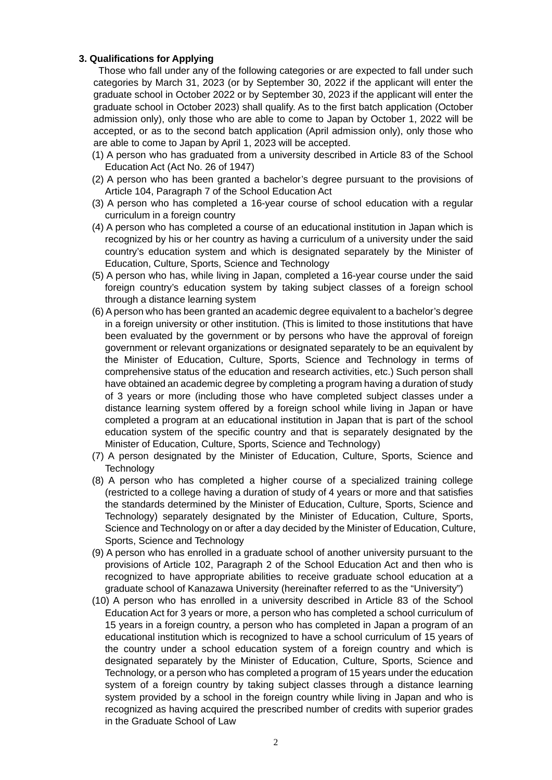## **3. Qualifications for Applying**

Those who fall under any of the following categories or are expected to fall under such categories by March 31, 2023 (or by September 30, 2022 if the applicant will enter the graduate school in October 2022 or by September 30, 2023 if the applicant will enter the graduate school in October 2023) shall qualify. As to the first batch application (October admission only), only those who are able to come to Japan by October 1, 2022 will be accepted, or as to the second batch application (April admission only), only those who are able to come to Japan by April 1, 2023 will be accepted.

- (1) A person who has graduated from a university described in Article 83 of the School Education Act (Act No. 26 of 1947)
- (2) A person who has been granted a bachelor's degree pursuant to the provisions of Article 104, Paragraph 7 of the School Education Act
- (3) A person who has completed a 16-year course of school education with a regular curriculum in a foreign country
- (4) A person who has completed a course of an educational institution in Japan which is recognized by his or her country as having a curriculum of a university under the said country's education system and which is designated separately by the Minister of Education, Culture, Sports, Science and Technology
- (5) A person who has, while living in Japan, completed a 16-year course under the said foreign country's education system by taking subject classes of a foreign school through a distance learning system
- (6) A person who has been granted an academic degree equivalent to a bachelor's degree in a foreign university or other institution. (This is limited to those institutions that have been evaluated by the government or by persons who have the approval of foreign government or relevant organizations or designated separately to be an equivalent by the Minister of Education, Culture, Sports, Science and Technology in terms of comprehensive status of the education and research activities, etc.) Such person shall have obtained an academic degree by completing a program having a duration of study of 3 years or more (including those who have completed subject classes under a distance learning system offered by a foreign school while living in Japan or have completed a program at an educational institution in Japan that is part of the school education system of the specific country and that is separately designated by the Minister of Education, Culture, Sports, Science and Technology)
- (7) A person designated by the Minister of Education, Culture, Sports, Science and **Technology**
- (8) A person who has completed a higher course of a specialized training college (restricted to a college having a duration of study of 4 years or more and that satisfies the standards determined by the Minister of Education, Culture, Sports, Science and Technology) separately designated by the Minister of Education, Culture, Sports, Science and Technology on or after a day decided by the Minister of Education, Culture, Sports, Science and Technology
- (9) A person who has enrolled in a graduate school of another university pursuant to the provisions of Article 102, Paragraph 2 of the School Education Act and then who is recognized to have appropriate abilities to receive graduate school education at a graduate school of Kanazawa University (hereinafter referred to as the "University")
- (10) A person who has enrolled in a university described in Article 83 of the School Education Act for 3 years or more, a person who has completed a school curriculum of 15 years in a foreign country, a person who has completed in Japan a program of an educational institution which is recognized to have a school curriculum of 15 years of the country under a school education system of a foreign country and which is designated separately by the Minister of Education, Culture, Sports, Science and Technology, or a person who has completed a program of 15 years under the education system of a foreign country by taking subject classes through a distance learning system provided by a school in the foreign country while living in Japan and who is recognized as having acquired the prescribed number of credits with superior grades in the Graduate School of Law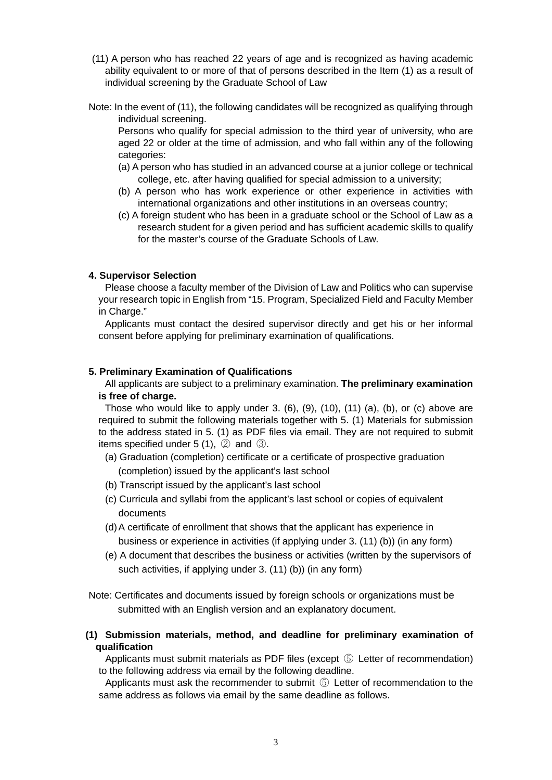- (11) A person who has reached 22 years of age and is recognized as having academic ability equivalent to or more of that of persons described in the Item (1) as a result of individual screening by the Graduate School of Law
- Note: In the event of (11), the following candidates will be recognized as qualifying through individual screening.

Persons who qualify for special admission to the third year of university, who are aged 22 or older at the time of admission, and who fall within any of the following categories:

- (a) A person who has studied in an advanced course at a junior college or technical college, etc. after having qualified for special admission to a university;
- (b) A person who has work experience or other experience in activities with international organizations and other institutions in an overseas country;
- (c) A foreign student who has been in a graduate school or the School of Law as a research student for a given period and has sufficient academic skills to qualify for the master's course of the Graduate Schools of Law.

## **4. Supervisor Selection**

Please choose a faculty member of the Division of Law and Politics who can supervise your research topic in English from "15. Program, Specialized Field and Faculty Member in Charge."

Applicants must contact the desired supervisor directly and get his or her informal consent before applying for preliminary examination of qualifications.

### **5. Preliminary Examination of Qualifications**

All applicants are subject to a preliminary examination. **The preliminary examination is free of charge.**

Those who would like to apply under 3.  $(6)$ ,  $(9)$ ,  $(10)$ ,  $(11)$   $(a)$ ,  $(b)$ , or  $(c)$  above are required to submit the following materials together with 5. (1) Materials for submission to the address stated in 5. (1) as PDF files via email. They are not required to submit items specified under 5 (1), ② and ③.

- (a) Graduation (completion) certificate or a certificate of prospective graduation (completion) issued by the applicant's last school
- (b) Transcript issued by the applicant's last school
- (c) Curricula and syllabi from the applicant's last school or copies of equivalent documents
- (d) A certificate of enrollment that shows that the applicant has experience in business or experience in activities (if applying under 3. (11) (b)) (in any form)
- (e) A document that describes the business or activities (written by the supervisors of such activities, if applying under 3. (11) (b)) (in any form)
- Note: Certificates and documents issued by foreign schools or organizations must be submitted with an English version and an explanatory document.
- **(1) Submission materials, method, and deadline for preliminary examination of qualification**

Applicants must submit materials as PDF files (except ⑤ Letter of recommendation) to the following address via email by the following deadline.

Applicants must ask the recommender to submit ⑤ Letter of recommendation to the same address as follows via email by the same deadline as follows.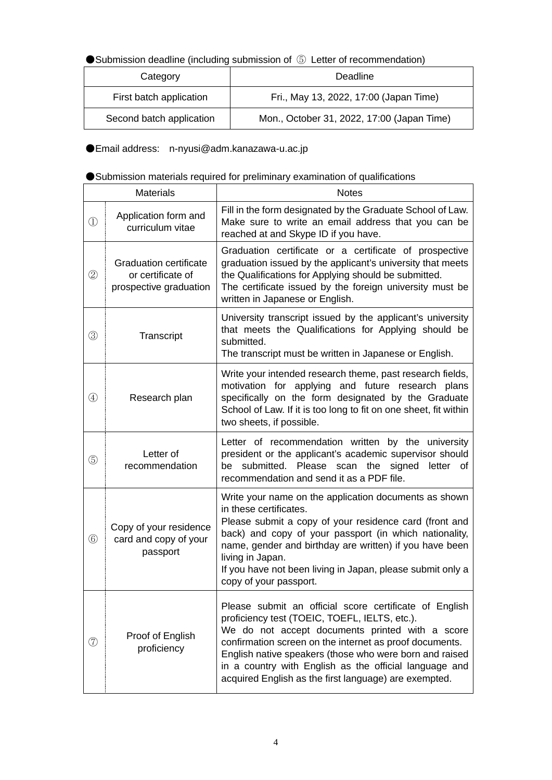●Submission deadline (including submission of 5) Letter of recommendation)

| Category                 | Deadline                                   |
|--------------------------|--------------------------------------------|
| First batch application  | Fri., May 13, 2022, 17:00 (Japan Time)     |
| Second batch application | Mon., October 31, 2022, 17:00 (Japan Time) |

●Email address: n-nyusi@adm.kanazawa-u.ac.jp

|                                       | ● Submission materials required for preliminary examination of qualifications |
|---------------------------------------|-------------------------------------------------------------------------------|
| <b><i><u>B</u></i></b> d. L. S. L. L. |                                                                               |

| <b>Materials</b>                            |                                                                              | <b>Notes</b>                                                                                                                                                                                                                                                                                                                                                                                        |
|---------------------------------------------|------------------------------------------------------------------------------|-----------------------------------------------------------------------------------------------------------------------------------------------------------------------------------------------------------------------------------------------------------------------------------------------------------------------------------------------------------------------------------------------------|
| $^{\textcircled{\scriptsize{1}}}$           | Application form and<br>curriculum vitae                                     | Fill in the form designated by the Graduate School of Law.<br>Make sure to write an email address that you can be<br>reached at and Skype ID if you have.                                                                                                                                                                                                                                           |
| $^{\copyright}$                             | <b>Graduation certificate</b><br>or certificate of<br>prospective graduation | Graduation certificate or a certificate of prospective<br>graduation issued by the applicant's university that meets<br>the Qualifications for Applying should be submitted.<br>The certificate issued by the foreign university must be<br>written in Japanese or English.                                                                                                                         |
| ③                                           | Transcript                                                                   | University transcript issued by the applicant's university<br>that meets the Qualifications for Applying should be<br>submitted.<br>The transcript must be written in Japanese or English.                                                                                                                                                                                                          |
| $^{\small{\textcircled{\footnotesize{1}}}}$ | Research plan                                                                | Write your intended research theme, past research fields,<br>motivation for applying and future research plans<br>specifically on the form designated by the Graduate<br>School of Law. If it is too long to fit on one sheet, fit within<br>two sheets, if possible.                                                                                                                               |
| (5)                                         | Letter of<br>recommendation                                                  | Letter of recommendation written by the university<br>president or the applicant's academic supervisor should<br>submitted. Please scan the signed<br>be<br>letter<br>of<br>recommendation and send it as a PDF file.                                                                                                                                                                               |
| $\circled6$                                 | Copy of your residence<br>card and copy of your<br>passport                  | Write your name on the application documents as shown<br>in these certificates.<br>Please submit a copy of your residence card (front and<br>back) and copy of your passport (in which nationality,<br>name, gender and birthday are written) if you have been<br>living in Japan.<br>If you have not been living in Japan, please submit only a<br>copy of your passport.                          |
| $^\circledR$                                | Proof of English<br>proficiency                                              | Please submit an official score certificate of English<br>proficiency test (TOEIC, TOEFL, IELTS, etc.).<br>We do not accept documents printed with a score<br>confirmation screen on the internet as proof documents.<br>English native speakers (those who were born and raised<br>in a country with English as the official language and<br>acquired English as the first language) are exempted. |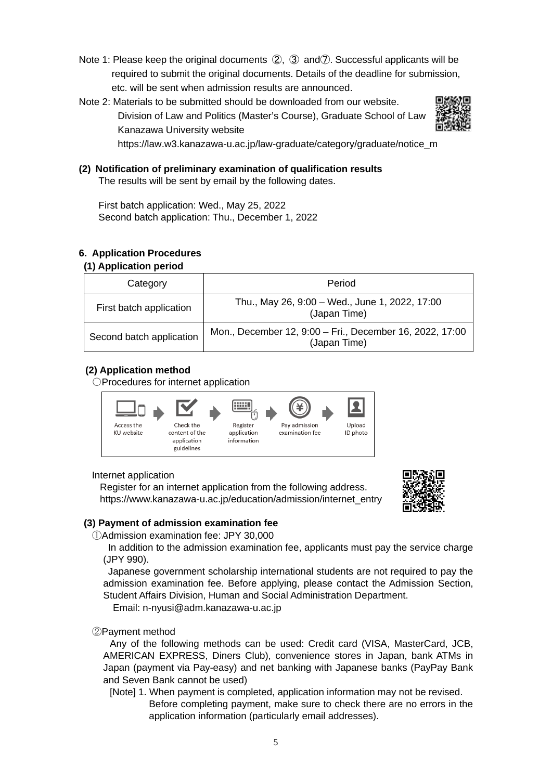- Note 1: Please keep the original documents ②, ③ and⑦. Successful applicants will be required to submit the original documents. Details of the deadline for submission, etc. will be sent when admission results are announced.
- Note 2: Materials to be submitted should be downloaded from our website. Division of Law and Politics (Master's Course), Graduate School of Law Kanazawa University website



https://law.w3.kanazawa-u.ac.jp/law-graduate/category/graduate/notice\_m

**(2) Notification of preliminary examination of qualification results** The results will be sent by email by the following dates.

First batch application: Wed., May 25, 2022 Second batch application: Thu., December 1, 2022

## **6. Application Procedures**

## **(1) Application period**

| Category                 | Period                                                                   |
|--------------------------|--------------------------------------------------------------------------|
| First batch application  | Thu., May 26, 9:00 - Wed., June 1, 2022, 17:00<br>(Japan Time)           |
| Second batch application | Mon., December 12, 9:00 - Fri., December 16, 2022, 17:00<br>(Japan Time) |

## **(2) Application method**

○Procedures for internet application



### Internet application

Register for an internet application from the following address. https://www.kanazawa-u.ac.jp/education/admission/internet\_entry



## **(3) Payment of admission examination fee**

①Admission examination fee: JPY 30,000

In addition to the admission examination fee, applicants must pay the service charge (JPY 990).

Japanese government scholarship international students are not required to pay the admission examination fee. Before applying, please contact the Admission Section, Student Affairs Division, Human and Social Administration Department.

Email: n-nyusi@adm.kanazawa-u.ac.jp

### ②Payment method

Any of the following methods can be used: Credit card (VISA, MasterCard, JCB, AMERICAN EXPRESS, Diners Club), convenience stores in Japan, bank ATMs in Japan (payment via Pay-easy) and net banking with Japanese banks (PayPay Bank and Seven Bank cannot be used)

[Note] 1. When payment is completed, application information may not be revised. Before completing payment, make sure to check there are no errors in the application information (particularly email addresses).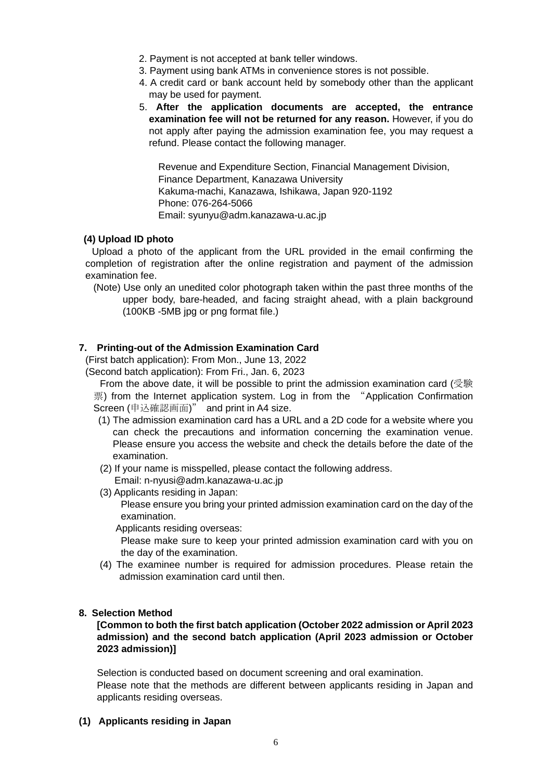- 2. Payment is not accepted at bank teller windows.
- 3. Payment using bank ATMs in convenience stores is not possible.
- 4. A credit card or bank account held by somebody other than the applicant may be used for payment.
- 5. **After the application documents are accepted, the entrance examination fee will not be returned for any reason.** However, if you do not apply after paying the admission examination fee, you may request a refund. Please contact the following manager.

Revenue and Expenditure Section, Financial Management Division, Finance Department, Kanazawa University Kakuma-machi, Kanazawa, Ishikawa, Japan 920-1192 Phone: 076-264-5066 Email: syunyu@adm.kanazawa-u.ac.jp

### **(4) Upload ID photo**

Upload a photo of the applicant from the URL provided in the email confirming the completion of registration after the online registration and payment of the admission examination fee.

(Note) Use only an unedited color photograph taken within the past three months of the upper body, bare-headed, and facing straight ahead, with a plain background (100KB -5MB jpg or png format file.)

## **7. Printing-out of the Admission Examination Card**

(First batch application): From Mon., June 13, 2022

(Second batch application): From Fri., Jan. 6, 2023

From the above date, it will be possible to print the admission examination card (受験 票) from the Internet application system. Log in from the "Application Confirmation Screen (申込確認画面)" and print in A4 size.

- (1) The admission examination card has a URL and a 2D code for a website where you can check the precautions and information concerning the examination venue. Please ensure you access the website and check the details before the date of the examination.
- (2) If your name is misspelled, please contact the following address.

Email: n-nyusi@adm.kanazawa-u.ac.jp

(3) Applicants residing in Japan:

Please ensure you bring your printed admission examination card on the day of the examination.

Applicants residing overseas:

Please make sure to keep your printed admission examination card with you on the day of the examination.

(4) The examinee number is required for admission procedures. Please retain the admission examination card until then.

### **8. Selection Method**

## **[Common to both the first batch application (October 2022 admission or April 2023 admission) and the second batch application (April 2023 admission or October 2023 admission)]**

Selection is conducted based on document screening and oral examination. Please note that the methods are different between applicants residing in Japan and applicants residing overseas.

**(1) Applicants residing in Japan**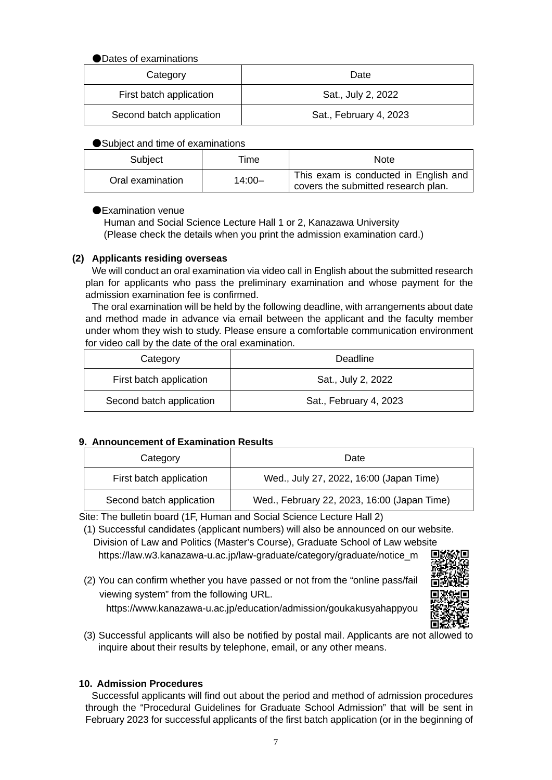## ●Dates of examinations

| Category                 | Date                   |
|--------------------------|------------------------|
| First batch application  | Sat., July 2, 2022     |
| Second batch application | Sat., February 4, 2023 |

## ●Subject and time of examinations

| Subject          | Time      | <b>Note</b>                                                                  |
|------------------|-----------|------------------------------------------------------------------------------|
| Oral examination | $14:00 -$ | This exam is conducted in English and<br>covers the submitted research plan. |

## ●Examination venue

Human and Social Science Lecture Hall 1 or 2, Kanazawa University (Please check the details when you print the admission examination card.)

## **(2) Applicants residing overseas**

We will conduct an oral examination via video call in English about the submitted research plan for applicants who pass the preliminary examination and whose payment for the admission examination fee is confirmed.

The oral examination will be held by the following deadline, with arrangements about date and method made in advance via email between the applicant and the faculty member under whom they wish to study. Please ensure a comfortable communication environment for video call by the date of the oral examination.

| Category                 | Deadline               |
|--------------------------|------------------------|
| First batch application  | Sat., July 2, 2022     |
| Second batch application | Sat., February 4, 2023 |

## **9. Announcement of Examination Results**

| Category |                          | Date                                        |
|----------|--------------------------|---------------------------------------------|
|          | First batch application  | Wed., July 27, 2022, 16:00 (Japan Time)     |
|          | Second batch application | Wed., February 22, 2023, 16:00 (Japan Time) |

Site: The bulletin board (1F, Human and Social Science Lecture Hall 2)

(1) Successful candidates (applicant numbers) will also be announced on our website. Division of Law and Politics (Master's Course), Graduate School of Law website https://law.w3.kanazawa-u.ac.jp/law-graduate/category/graduate/notice\_m

(2) You can confirm whether you have passed or not from the "online pass/fail viewing system" from the following URL.

https://www.kanazawa-u.ac.jp/education/admission/goukakusyahappyou



(3) Successful applicants will also be notified by postal mail. Applicants are not allowed to inquire about their results by telephone, email, or any other means.

## **10. Admission Procedures**

Successful applicants will find out about the period and method of admission procedures through the "Procedural Guidelines for Graduate School Admission" that will be sent in February 2023 for successful applicants of the first batch application (or in the beginning of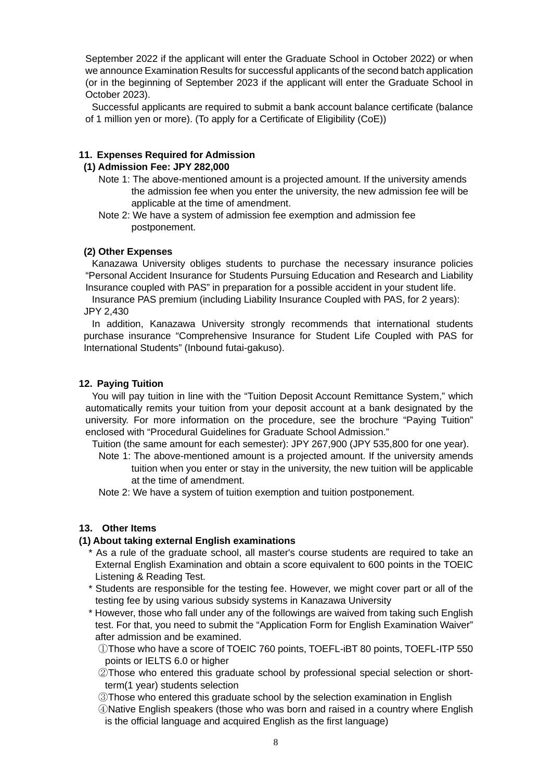September 2022 if the applicant will enter the Graduate School in October 2022) or when we announce Examination Results for successful applicants of the second batch application (or in the beginning of September 2023 if the applicant will enter the Graduate School in October 2023).

Successful applicants are required to submit a bank account balance certificate (balance of 1 million yen or more). (To apply for a Certificate of Eligibility (CoE))

## **11. Expenses Required for Admission**

## **(1) Admission Fee: JPY 282,000**

- Note 1: The above-mentioned amount is a projected amount. If the university amends the admission fee when you enter the university, the new admission fee will be applicable at the time of amendment.
- Note 2: We have a system of admission fee exemption and admission fee postponement.

### **(2) Other Expenses**

Kanazawa University obliges students to purchase the necessary insurance policies "Personal Accident Insurance for Students Pursuing Education and Research and Liability Insurance coupled with PAS" in preparation for a possible accident in your student life.

Insurance PAS premium (including Liability Insurance Coupled with PAS, for 2 years): JPY 2,430

In addition, Kanazawa University strongly recommends that international students purchase insurance "Comprehensive Insurance for Student Life Coupled with PAS for International Students" (Inbound futai-gakuso).

#### **12. Paying Tuition**

You will pay tuition in line with the "Tuition Deposit Account Remittance System," which automatically remits your tuition from your deposit account at a bank designated by the university. For more information on the procedure, see the brochure "Paying Tuition" enclosed with "Procedural Guidelines for Graduate School Admission."

Tuition (the same amount for each semester): JPY 267,900 (JPY 535,800 for one year).

Note 1: The above-mentioned amount is a projected amount. If the university amends tuition when you enter or stay in the university, the new tuition will be applicable at the time of amendment.

Note 2: We have a system of tuition exemption and tuition postponement.

### **13. Other Items**

### **(1) About taking external English examinations**

- \* As a rule of the graduate school, all master's course students are required to take an External English Examination and obtain a score equivalent to 600 points in the TOEIC Listening & Reading Test.
- \* Students are responsible for the testing fee. However, we might cover part or all of the testing fee by using various subsidy systems in Kanazawa University
- \* However, those who fall under any of the followings are waived from taking such English test. For that, you need to submit the "Application Form for English Examination Waiver" after admission and be examined.
	- ①Those who have a score of TOEIC 760 points, TOEFL-iBT 80 points, TOEFL-ITP 550 points or IELTS 6.0 or higher
	- ②Those who entered this graduate school by professional special selection or shortterm(1 year) students selection
	- ③Those who entered this graduate school by the selection examination in English
	- ④Native English speakers (those who was born and raised in a country where English is the official language and acquired English as the first language)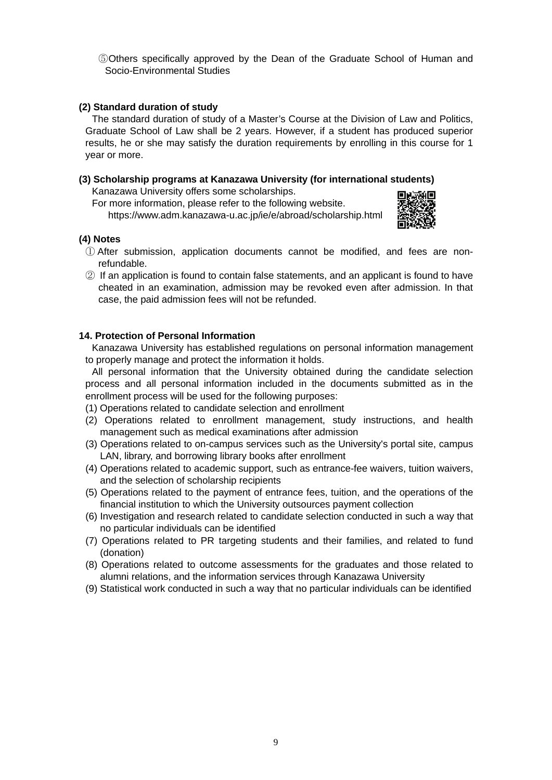⑤Others specifically approved by the Dean of the Graduate School of Human and Socio-Environmental Studies

## **(2) Standard duration of study**

The standard duration of study of a Master's Course at the Division of Law and Politics, Graduate School of Law shall be 2 years. However, if a student has produced superior results, he or she may satisfy the duration requirements by enrolling in this course for 1 year or more.

## **(3) Scholarship programs at Kanazawa University (for international students)**

Kanazawa University offers some scholarships.

For more information, please refer to the following website. https://www.adm.kanazawa-u.ac.jp/ie/e/abroad/scholarship.html



## **(4) Notes**

- ① After submission, application documents cannot be modified, and fees are nonrefundable.
- ② If an application is found to contain false statements, and an applicant is found to have cheated in an examination, admission may be revoked even after admission. In that case, the paid admission fees will not be refunded.

## **14. Protection of Personal Information**

Kanazawa University has established regulations on personal information management to properly manage and protect the information it holds.

All personal information that the University obtained during the candidate selection process and all personal information included in the documents submitted as in the enrollment process will be used for the following purposes:

- (1) Operations related to candidate selection and enrollment
- (2) Operations related to enrollment management, study instructions, and health management such as medical examinations after admission
- (3) Operations related to on-campus services such as the University's portal site, campus LAN, library, and borrowing library books after enrollment
- (4) Operations related to academic support, such as entrance-fee waivers, tuition waivers, and the selection of scholarship recipients
- (5) Operations related to the payment of entrance fees, tuition, and the operations of the financial institution to which the University outsources payment collection
- (6) Investigation and research related to candidate selection conducted in such a way that no particular individuals can be identified
- (7) Operations related to PR targeting students and their families, and related to fund (donation)
- (8) Operations related to outcome assessments for the graduates and those related to alumni relations, and the information services through Kanazawa University
- (9) Statistical work conducted in such a way that no particular individuals can be identified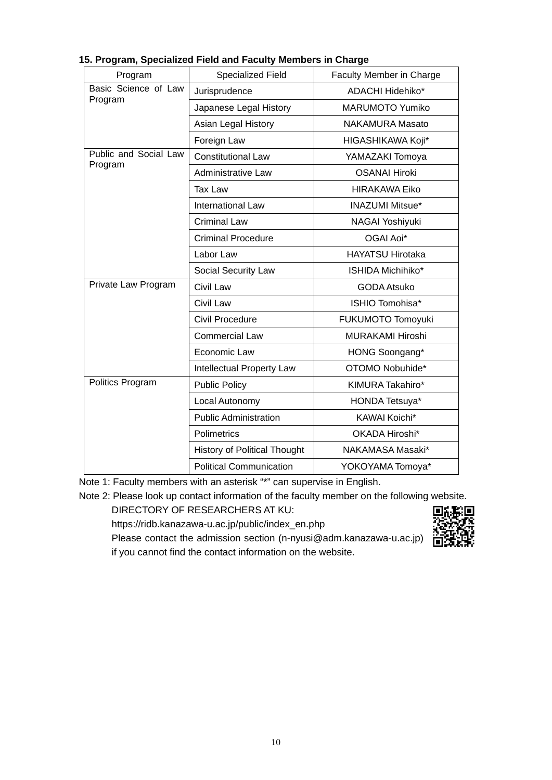| Program               | <b>Specialized Field</b>            | Faculty Member in Charge |
|-----------------------|-------------------------------------|--------------------------|
| Basic Science of Law  | Jurisprudence                       | ADACHI Hidehiko*         |
| Program               | Japanese Legal History              | MARUMOTO Yumiko          |
|                       | Asian Legal History                 | <b>NAKAMURA Masato</b>   |
|                       | Foreign Law                         | HIGASHIKAWA Koji*        |
| Public and Social Law | <b>Constitutional Law</b>           | YAMAZAKI Tomoya          |
| Program               | Administrative Law                  | <b>OSANAI Hiroki</b>     |
|                       | <b>Tax Law</b>                      | <b>HIRAKAWA Eiko</b>     |
|                       | <b>International Law</b>            | <b>INAZUMI Mitsue*</b>   |
|                       | <b>Criminal Law</b>                 | NAGAI Yoshiyuki          |
|                       | <b>Criminal Procedure</b>           | OGAI Aoi*                |
|                       | Labor Law                           | <b>HAYATSU Hirotaka</b>  |
|                       | Social Security Law                 | ISHIDA Michihiko*        |
| Private Law Program   | Civil Law                           | <b>GODA Atsuko</b>       |
|                       | Civil Law                           | ISHIO Tomohisa*          |
|                       | Civil Procedure                     | FUKUMOTO Tomoyuki        |
|                       | <b>Commercial Law</b>               | <b>MURAKAMI Hiroshi</b>  |
|                       | Economic Law                        | HONG Soongang*           |
|                       | Intellectual Property Law           | OTOMO Nobuhide*          |
| Politics Program      | <b>Public Policy</b>                | KIMURA Takahiro*         |
|                       | Local Autonomy                      | HONDA Tetsuya*           |
|                       | <b>Public Administration</b>        | KAWAI Koichi*            |
|                       | Polimetrics                         | OKADA Hiroshi*           |
|                       | <b>History of Political Thought</b> | NAKAMASA Masaki*         |
|                       | <b>Political Communication</b>      | YOKOYAMA Tomoya*         |

## **15. Program, Specialized Field and Faculty Members in Charge**

Note 1: Faculty members with an asterisk "\*" can supervise in English.

Note 2: Please look up contact information of the faculty member on the following website.

DIRECTORY OF RESEARCHERS AT KU:

https://ridb.kanazawa-u.ac.jp/public/index\_en.php



Please contact the admission section (n-nyusi@adm.kanazawa-u.ac.jp) if you cannot find the contact information on the website.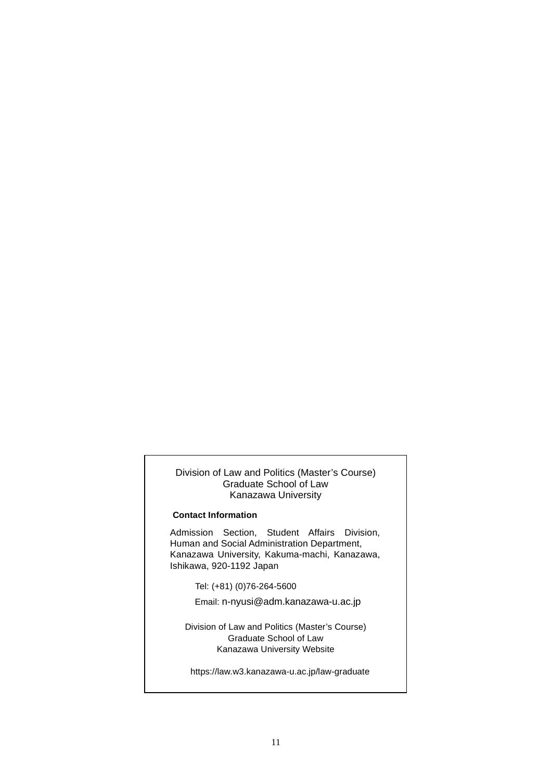#### Division of Law and Politics (Master's Course) Graduate School of Law Kanazawa University

#### **Contact Information**

Admission Section, Student Affairs Division, Human and Social Administration Department, Kanazawa University, Kakuma-machi, Kanazawa, Ishikawa, 920-1192 Japan

Tel: (+81) (0)76-264-5600

Email: n-nyusi@adm.kanazawa-u.ac.jp

Division of Law and Politics (Master's Course) Graduate School of Law Kanazawa University Website

https://law.w3.kanazawa-u.ac.jp/law-graduate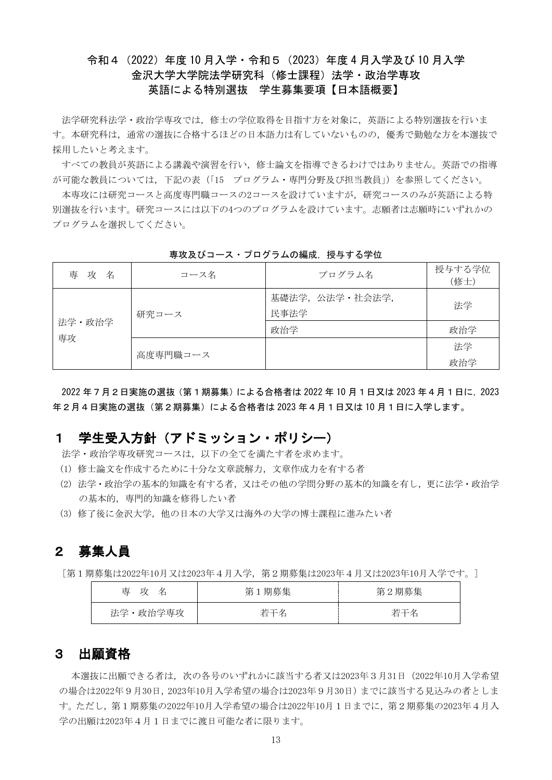## 令和4(2022)年度 10 月入学・令和5(2023)年度 4 月入学及び 10 月入学 金沢大学大学院法学研究科(修士課程)法学・政治学専攻 英語による特別選抜 学生募集要項【日本語概要】

法学研究科法学・政治学専攻では,修士の学位取得を目指す方を対象に,英語による特別選抜を行いま す。本研究科は,通常の選抜に合格するほどの日本語力は有していないものの,優秀で勤勉な方を本選抜で 採用したいと考えます。

すべての教員が英語による講義や演習を行い,修士論文を指導できるわけではありません。英語での指導 が可能な教員については,下記の表(「15 プログラム・専門分野及び担当教員」)を参照してください。

本専攻には研究コースと高度専門職コースの2コースを設けていますが,研究コースのみが英語による特 別選抜を行います。研究コースには以下の4つのプログラムを設けています。志願者は志願時にいずれかの プログラムを選択してください。

| 専 攻<br>名 | コース名     | プログラム名                    | 授与する学位<br>(修士) |
|----------|----------|---------------------------|----------------|
|          | 研究コース    | 基礎法学, 公法学 · 社会法学,<br>民事法学 | 法学             |
| 法学·政治学   |          | 政治学                       | 政治学            |
| 専攻       |          |                           | 法学             |
|          | 高度専門職コース |                           | 政治学            |

専攻及びコース・プログラムの編成、授与する学位

2022 年7月2日実施の選抜(第1期募集)による合格者は 2022 年 10 月1日又は 2023 年4月1日に,2023 年2月4日実施の選抜(第2期募集)による合格者は 2023 年4月1日又は 10 月1日に入学します。

## 1 学生受入方針(アドミッション・ポリシー)

法学・政治学専攻研究コースは,以下の全てを満たす者を求めます。

- (1) 修士論文を作成するために十分な文章読解力,文章作成力を有する者
- (2) 法学・政治学の基本的知識を有する者,又はその他の学問分野の基本的知識を有し,更に法学・政治学 の基本的,専門的知識を修得したい者
- (3) 修了後に金沢大学,他の日本の大学又は海外の大学の博士課程に進みたい者

## 2 募集人員

[第1期募集は2022年10月又は2023年4月入学,第2期募集は2023年4月又は2023年10月入学です。]

| 専<br>攻<br>名 | 第1期募集 | 第2期募集 |
|-------------|-------|-------|
| 法学・政治学専攻    | 若干名   | 若干名   |

## 3 出願資格

 本選抜に出願できる者は,次の各号のいずれかに該当する者又は2023年3月31日(2022年10月入学希望 の場合は2022年9月30日,2023年10月入学希望の場合は2023年9月30日)までに該当する見込みの者としま す。ただし,第1期募集の2022年10月入学希望の場合は2022年10月1日までに,第2期募集の2023年4月入 学の出願は2023年4月1日までに渡日可能な者に限ります。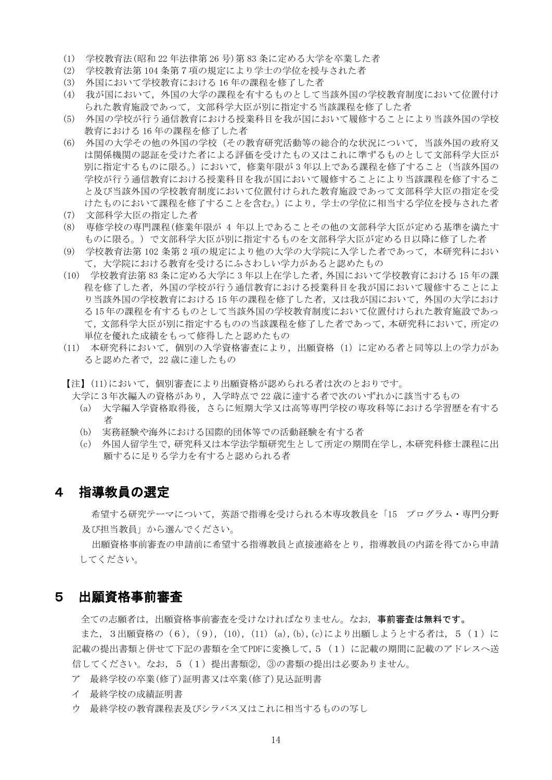- (1) 学校教育法(昭和 22 年法律第 26 号)第 83 条に定める大学を卒業した者
- (2) 学校教育法第 104 条第7項の規定により学士の学位を授与された者
- (3) 外国において学校教育における 16 年の課程を修了した者
- (4) 我が国において,外国の大学の課程を有するものとして当該外国の学校教育制度において位置付け られた教育施設であって,文部科学大臣が別に指定する当該課程を修了した者
- (5) 外国の学校が行う通信教育における授業科目を我が国において履修することにより当該外国の学校 教育における 16 年の課程を修了した者
- (6) 外国の大学その他の外国の学校(その教育研究活動等の総合的な状況について,当該外国の政府又 は関係機関の認証を受けた者による評価を受けたもの又はこれに準ずるものとして文部科学大臣が 別に指定するものに限る。)において,修業年限が 3 年以上である課程を修了すること(当該外国の 学校が行う通信教育における授業科目を我が国において履修することにより当該課程を修了するこ と及び当該外国の学校教育制度において位置付けられた教育施設であって文部科学大臣の指定を受 けたものにおいて課程を修了することを含む。)により,学士の学位に相当する学位を授与された者
- (7) 文部科学大臣の指定した者
- (8) 専修学校の専門課程(修業年限が 4 年以上であることその他の文部科学大臣が定める基準を満たす ものに限る。) で文部科学大臣が別に指定するものを文部科学大臣が定める日以降に修了した者
- (9) 学校教育法第 102 条第 2 項の規定により他の大学の大学院に入学した者であって,本研究科におい て,大学院における教育を受けるにふさわしい学力があると認めたもの
- (10) 学校教育法第 83 条に定める大学に 3 年以上在学した者,外国において学校教育における 15 年の課 程を修了した者,外国の学校が行う通信教育における授業科目を我が国において履修することによ り当該外国の学校教育における 15 年の課程を修了した者,又は我が国において,外国の大学におけ る 15 年の課程を有するものとして当該外国の学校教育制度において位置付けられた教育施設であっ て,文部科学大臣が別に指定するものの当該課程を修了した者であって,本研究科において,所定の 単位を優れた成績をもって修得したと認めたもの
- (11) 本研究科において,個別の入学資格審査により,出願資格(1)に定める者と同等以上の学力があ ると認めた者で,22 歳に達したもの
- 【注】(11)において,個別審査により出願資格が認められる者は次のとおりです。

大学に3年次編入の資格があり,入学時点で 22 歳に達する者で次のいずれかに該当するもの

- (a) 大学編入学資格取得後,さらに短期大学又は高等専門学校の専攻科等における学習歴を有する 者
- (b) 実務経験や海外における国際的団体等での活動経験を有する者
- (c) 外国人留学生で,研究科又は本学法学類研究生として所定の期間在学し,本研究科修士課程に出 願するに足りる学力を有すると認められる者

## 4 指導教員の選定

希望する研究テーマについて,英語で指導を受けられる本専攻教員を「15 プログラム・専門分野 及び担当教員」から選んでください。

出願資格事前審査の申請前に希望する指導教員と直接連絡をとり,指導教員の内諾を得てから申請 してください。

## 5 出願資格事前審査

全ての志願者は,出願資格事前審査を受けなければなりません。なお,事前審査は無料です。

また, 3出願資格の (6), (9), (10), (11) (a), (b), (c)により出願しようとする者は, 5 (1)に 記載の提出書類と併せて下記の書類を全てPDFに変換して,5 (1)に記載の期間に記載のアドレスへ送 信してください。なお,5(1)提出書類②,③の書類の提出は必要ありません。

- ア 最終学校の卒業(修了)証明書又は卒業(修了)見込証明書
- イ 最終学校の成績証明書
- ウ 最終学校の教育課程表及びシラバス又はこれに相当するものの写し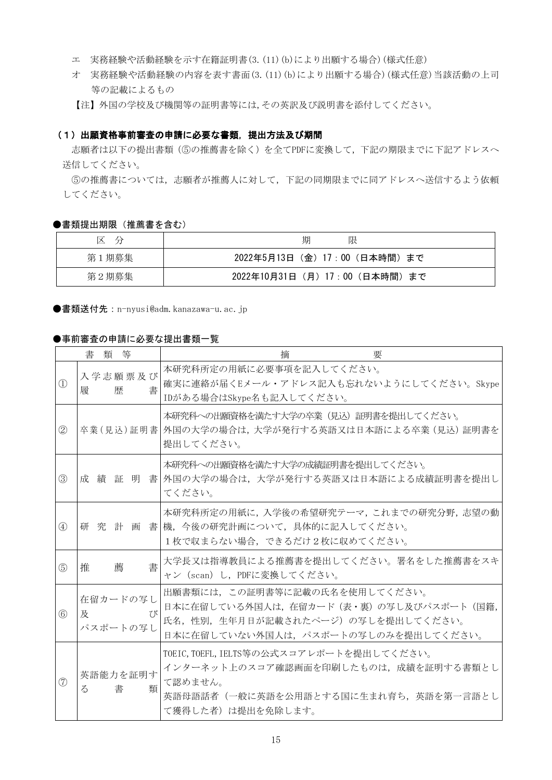- エ 実務経験や活動経験を示す在籍証明書(3.(11)(b)により出願する場合)(様式任意)
- オ 実務経験や活動経験の内容を表す書面(3.(11)(b)により出願する場合)(様式任意)当該活動の上司 等の記載によるもの

【注】外国の学校及び機関等の証明書等には,その英訳及び説明書を添付してください。

#### (1)出願資格事前審査の申請に必要な書類,提出方法及び期間

志願者は以下の提出書類(⑤の推薦書を除く)を全てPDFに変換して,下記の期限までに下記アドレスへ 送信してください。

⑤の推薦書については,志願者が推薦人に対して,下記の同期限までに同アドレスへ送信するよう依頼 してください。

#### ●書類提出期限 (推薦書を含む)

| 区<br>$\overline{\phantom{a}}$ | 期<br>限                        |
|-------------------------------|-------------------------------|
| 第1期募集                         | 2022年5月13日(金)17:00(日本時間)まで    |
| 第2期募集                         | 2022年10月31日(月)17:00 (日本時間) まで |

●書類送付先: n-nyusi@adm. kanazawa-u. ac. jp

#### ●事前審査の申請に必要な提出書類一覧

|                                | 書 | 類 | 等                    | 摘<br>要                                                                                                                                                     |
|--------------------------------|---|---|----------------------|------------------------------------------------------------------------------------------------------------------------------------------------------------|
| $\textcircled{\scriptsize{1}}$ | 履 |   | 入学志願票及び<br>歴<br>書    | 本研究科所定の用紙に必要事項を記入してください。<br>確実に連絡が届くEメール・アドレス記入も忘れないようにしてください。Skype<br>IDがある場合はSkype名も記入してください。                                                            |
| $\circled{2}$                  |   |   |                      | 本研究科への出願資格を満たす大学の卒業(見込)証明書を提出してください。<br> 卒業(見込)証明書  外国の大学の場合は,大学が発行する英語又は日本語による卒業(見込)証明書を<br>提出してください。                                                     |
| $\circledS$                    |   |   |                      | 本研究科への出願資格を満たす大学の成績証明書を提出してください。<br>成 績 証 明 書 外国の大学の場合は,大学が発行する英語又は日本語による成績証明書を提出し<br>てください。                                                               |
| (4)                            |   |   |                      | 本研究科所定の用紙に,入学後の希望研究テーマ,これまでの研究分野,志望の動<br>研究計画書機,今後の研究計画について、具体的に記入してください。<br>1枚で収まらない場合、できるだけ2枚に収めてください。                                                   |
| (5)                            | 推 |   | 書<br>薦               | 大学長又は指導教員による推薦書を提出してください。署名をした推薦書をスキ<br>ャン (scan) し、PDFに変換してください。                                                                                          |
| $\circled{6}$                  | 及 |   | 在留カードの写し<br>パスポートの写し | 出願書類には、この証明書等に記載の氏名を使用してください。<br>日本に在留している外国人は,在留カード(表・裏)の写し及びパスポート(国籍,<br>7 N<br>氏名、性別、生年月日が記載されたページ)の写しを提出してください。<br>日本に在留していない外国人は、パスポートの写しのみを提出してください。 |
| (7)                            | る |   | 英語能力を証明す<br>書<br>類   | TOEIC, TOEFL, IELTS等の公式スコアレポートを提出してください。<br>インターネット上のスコア確認画面を印刷したものは、成績を証明する書類とし<br>て認めません。<br>英語母語話者(一般に英語を公用語とする国に生まれ育ち、英語を第一言語とし<br>て獲得した者)は提出を免除します。   |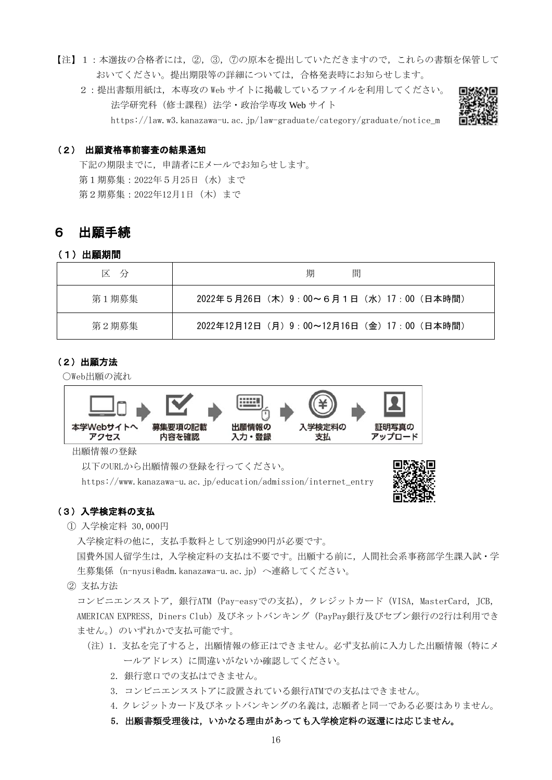- 【注】1:本選抜の合格者には,②,③,⑦の原本を提出していただきますので,これらの書類を保管して おいてください。提出期限等の詳細については,合格発表時にお知らせします。
	- 2:提出書類用紙は、本専攻の Web サイトに掲載しているファイルを利用してください。 法学研究科 (修士課程) 法学·政治学専攻 Web サイト https://law.w3.kanazawa-u.ac.jp/law-graduate/category/graduate/notice\_m



#### (2) 出願資格事前審査の結果通知

下記の期限までに,申請者にEメールでお知らせします。 第1期募集:2022年5月25日(水)まで 第2期募集:2022年12月1日(木)まで

## 6 出願手続

#### (1)出願期間

| 区 分   | 間<br>期                                    |
|-------|-------------------------------------------|
| 第1期募集 | 2022年5月26日 (木) 9:00~6月1日 (水) 17:00 (日本時間) |
| 第2期募集 | 2022年12月12日(月)9:00~12月16日(金)17:00(日本時間)   |

## (2)出願方法

○Web出願の流れ



出願情報の登録

以下のURLから出願情報の登録を行ってください。

https://www.kanazawa-u.ac.jp/education/admission/internet\_entry



#### (3)入学検定料の支払

① 入学検定料 30,000円

入学検定料の他に,支払手数料として別途990円が必要です。

国費外国人留学生は,入学検定料の支払は不要です。出願する前に,人間社会系事務部学生課入試・学 生募集係 (n-nyusi@adm.kanazawa-u.ac.jp)へ連絡してください。

② 支払方法

コンビニエンスストア, 銀行ATM (Pay-easyでの支払), クレジットカード (VISA, MasterCard, JCB, AMERICAN EXPRESS, Diners Club)及びネットバンキング (PayPay銀行及びセブン銀行の2行は利用でき ません。)のいずれかで支払可能です。

- (注)1.支払を完了すると,出願情報の修正はできません。必ず支払前に入力した出願情報(特にメ ールアドレス)に間違いがないか確認してください。
	- 2. 銀行窓口での支払はできません。
	- 3.コンビニエンスストアに設置されている銀行ATMでの支払はできません。
	- 4.クレジットカード及びネットバンキングの名義は,志願者と同一である必要はありません。
	- 5.出願書類受理後は,いかなる理由があっても入学検定料の返還には応じません。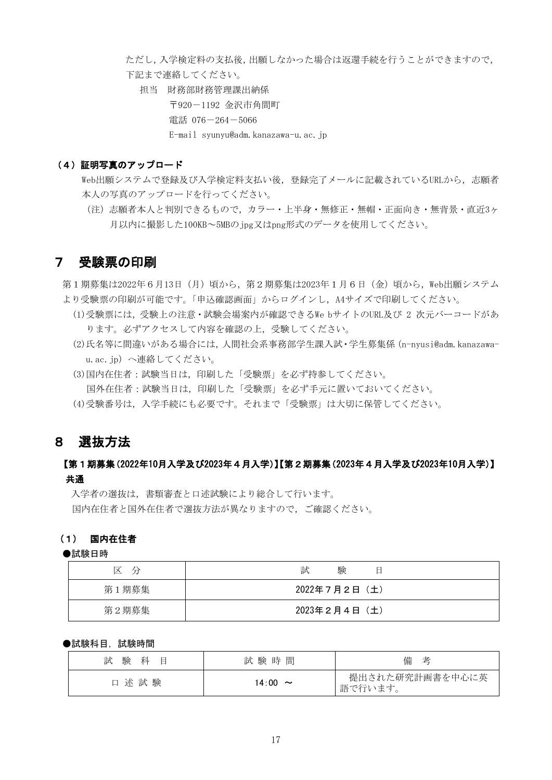ただし,入学検定料の支払後,出願しなかった場合は返還手続を行うことができますので, 下記まで連絡してください。

担当 財務部財務管理課出納係 〒920-1192 金沢市角間町 電話 076-264-5066 E-mail syunyu@adm.kanazawa-u.ac.jp

#### (4) 証明写真のアップロード

Web出願システムで登録及び入学検定料支払い後,登録完了メールに記載されているURLから,志願者 本人の写真のアップロードを行ってください。

(注)志願者本人と判別できるもので,カラー・上半身・無修正・無帽・正面向き・無背景・直近3ヶ 月以内に撮影した100KB~5MBのjpg又はpng形式のデータを使用してください。

## 7 受験票の印刷

第1期募集は2022年6月13日 (月)頃から、第2期募集は2023年1月6日 (金)頃から,Web出願システム より受験票の印刷が可能です。「申込確認画面」からログインし、A4サイズで印刷してください。

- (1)受験票には,受験上の注意・試験会場案内が確認できるWe bサイトのURL及び 2 次元バーコードがあ ります。必ずアクセスして内容を確認の上,受験してください。
- (2)氏名等に間違いがある場合には,人間社会系事務部学生課入試・学生募集係(n-nyusi@adm.kanazawau.ac.jp)へ連絡してください。
- (3)国内在住者:試験当日は,印刷した「受験票」を必ず持参してください。 国外在住者:試験当日は,印刷した「受験票」を必ず手元に置いておいてください。
- (4)受験番号は,入学手続にも必要です。それまで「受験票」は大切に保管してください。

## 8 選抜方法

## 【第1期募集(2022年10月入学及び2023年4月入学)】【第2期募集(2023年4月入学及び2023年10月入学)】 共通

入学者の選抜は、書類審査と口述試験により総合して行います。 国内在住者と国外在住者で選抜方法が異なりますので,ご確認ください。

## (1) 国内在住者

#### ●試験日時

| 区<br>分 | 験<br>試<br>日   |  |  |
|--------|---------------|--|--|
| 第1期募集  | 2022年7月2日 (土) |  |  |
| 第2期募集  | 2023年2月4日 (土) |  |  |

#### ●試験科目,試験時間

| 試<br>験<br>科<br>Ħ | 試験時間                           | 備<br>老                     |
|------------------|--------------------------------|----------------------------|
| 験<br>述 試<br>口    | 14:00<br>$\tilde{\phantom{a}}$ | 提出された研究計画書を中心に英<br>語で行います。 |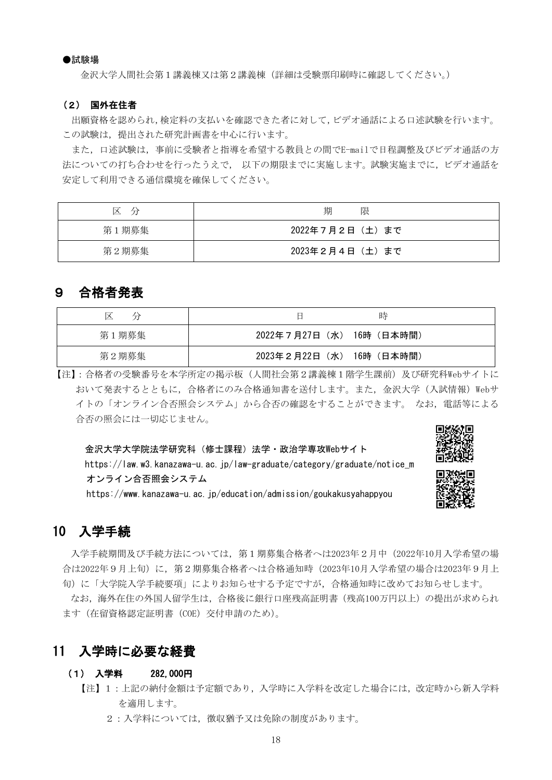#### ●試験場

金沢大学人間社会第1講義棟又は第2講義棟(詳細は受験票印刷時に確認してください。)

#### (2) 国外在住者

出願資格を認められ,検定料の支払いを確認できた者に対して,ビデオ通話による口述試験を行います。 この試験は、提出された研究計画書を中心に行います。

また,口述試験は,事前に受験者と指導を希望する教員との間でE-mailで日程調整及びビデオ通話の方 法についての打ち合わせを行ったうえで, 以下の期限までに実施します。試験実施までに,ビデオ通話を 安定して利用できる通信環境を確保してください。

| 区<br>分 | 期<br>限           |
|--------|------------------|
| 第1期募集  | 2022年7月2日(土)まで   |
| 第2期募集  | 2023年2月4日 (土) まで |

## 9 合格者発表

| ✕<br>分 | 時                         |
|--------|---------------------------|
| 第1期募集  | 2022年7月27日 (水) 16時 (日本時間) |
| 第2期募集  | 2023年2月22日 (水) 16時 (日本時間) |

【注】:合格者の受験番号を本学所定の掲示板(人間社会第2講義棟1階学生課前)及び研究科Webサイトに おいて発表するとともに、合格者にのみ合格通知書を送付します。また、金沢大学(入試情報)Webサ イトの「オンライン合否照会システム」から合否の確認をすることができます。 なお,電話等による 合否の照会には一切応じません。

金沢大学大学院法学研究科(修士課程)法学・政治学専攻Webサイト

https://law.w3.kanazawa-u.ac.jp/law-graduate/category/graduate/notice\_m オンライン合否照会システム

https://www.kanazawa-u.ac.jp/education/admission/goukakusyahappyou

## 10 入学手続

入学手続期間及び手続方法については,第1期募集合格者へは2023年2月中(2022年10月入学希望の場 合は2022年9月上旬)に,第2期募集合格者へは合格通知時(2023年10月入学希望の場合は2023年9月上 旬)に「大学院入学手続要項」によりお知らせする予定ですが,合格通知時に改めてお知らせします。

なお,海外在住の外国人留学生は,合格後に銀行口座残高証明書(残高100万円以上)の提出が求められ ます(在留資格認定証明書(COE)交付申請のため)。

## 11 入学時に必要な経費

#### (1) 入学料 282,000円

- 【注】1:上記の納付金額は予定額であり,入学時に入学料を改定した場合には,改定時から新入学料 を適用します。
	- 2:入学料については、徴収猶予又は免除の制度があります。



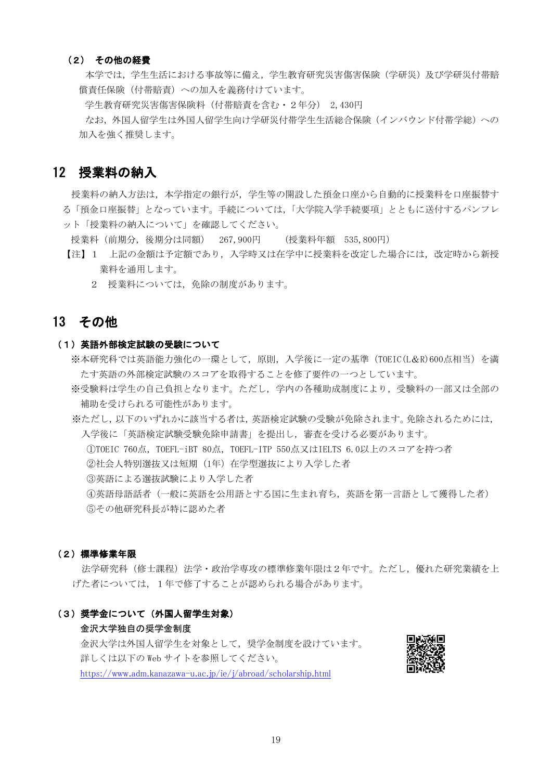#### (2) その他の経費

本学では、学生活における事故等に備え、学生教育研究災害傷害保険(学研災)及び学研災付帯賠 償責任保険(付帯賠責)への加入を義務付けています。

学生教育研究災害傷害保険料(付帯賠責を含む・2年分) 2,430円

なお,外国人留学生は外国人留学生向け学研災付帯学生生活総合保険(インバウンド付帯学総)への 加入を強く推奨します。

## 12 授業料の納入

授業料の納入方法は,本学指定の銀行が,学生等の開設した預金口座から自動的に授業料を口座振替す

- る「預金口座振替」となっています。手続については,「大学院入学手続要項」とともに送付するパンフレ ット「授業料の納入について」を確認してください。
	- 授業料(前期分,後期分は同額) 267,900円 (授業料年額 535,800円)
	- 【注】1 上記の金額は予定額であり、入学時又は在学中に授業料を改定した場合には、改定時から新授 業料を通用します。
		- 2 授業料については,免除の制度があります。

## 13 その他

#### (1)英語外部検定試験の受験について

- ※本研究科では英語能力強化の一環として,原則,入学後に一定の基準(TOEIC(L&R)600点相当)を満 たす英語の外部検定試験のスコアを取得することを修了要件の一つとしています。
- ※受験料は学生の自己負担となります。ただし,学内の各種助成制度により,受験料の一部又は全部の 補助を受けられる可能性があります。

※ただし,以下のいずれかに該当する者は,英語検定試験の受験が免除されます。免除されるためには, 入学後に「英語検定試験受験免除申請書」を提出し,審査を受ける必要があります。

①TOEIC 760点,TOEFL-iBT 80点,TOEFL-ITP 550点又はIELTS 6.0以上のスコアを持つ者

②社会人特別選抜又は短期(1年)在学型選抜により入学した者

③英語による選抜試験により入学した者

④英語母語話者(一般に英語を公用語とする国に生まれ育ち,英語を第一言語として獲得した者) ⑤その他研究科長が特に認めた者

#### (2)標準修業年限

法学研究科(修士課程)法学・政治学専攻の標準修業年限は2年です。ただし,優れた研究業績を上 げた者については,1年で修了することが認められる場合があります。

## (3)奨学金について(外国人留学生対象)

#### 金沢大学独自の奨学金制度

金沢大学は外国人留学生を対象として,奨学金制度を設けています。 詳しくは以下の Web サイトを参照してください。 https://www.adm.kanazawa-u.ac.jp/ie/j/abroad/scholarship.html

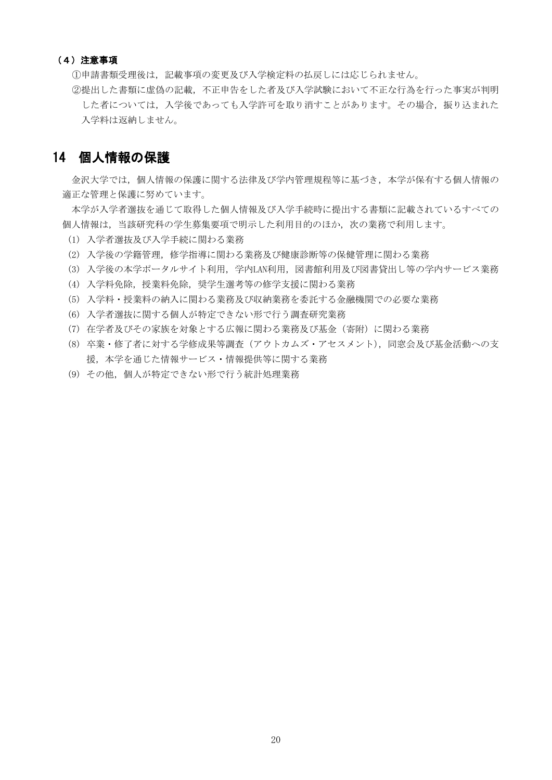#### (4)注意事項

①申請書類受理後は,記載事項の変更及び入学検定料の払戻しには応じられません。

②提出した書類に虚偽の記載,不正申告をした者及び入学試験において不正な行為を行った事実が判明 した者については、入学後であっても入学許可を取り消すことがあります。その場合、振り込まれた 入学料は返納しません。

## 14 個人情報の保護

金沢大学では,個人情報の保護に関する法律及び学内管理規程等に基づき,本学が保有する個人情報の 適正な管理と保護に努めています。

本学が入学者選抜を通じて取得した個人情報及び入学手続時に提出する書類に記載されているすべての 個人情報は,当該研究科の学生募集要項で明示した利用目的のほか,次の業務で利用します。

- (1) 入学者選抜及び入学手続に関わる業務
- (2) 入学後の学籍管理,修学指導に関わる業務及び健康診断等の保健管理に関わる業務
- (3) 入学後の本学ポータルサイト利用,学内LAN利用,図書館利用及び図書貸出し等の学内サービス業務
- (4) 入学料免除,授業料免除,奨学生選考等の修学支援に関わる業務
- (5) 入学料・授業料の納入に関わる業務及び収納業務を委託する金融機関での必要な業務
- (6) 入学者選抜に関する個人が特定できない形で行う調査研究業務
- (7) 在学者及びその家族を対象とする広報に関わる業務及び基金(寄附)に関わる業務
- (8) 卒業・修了者に対する学修成果等調査(アウトカムズ・アセスメント),同窓会及び基金活動への支 援,本学を通じた情報サービス・情報提供等に関する業務
- (9) その他、個人が特定できない形で行う統計処理業務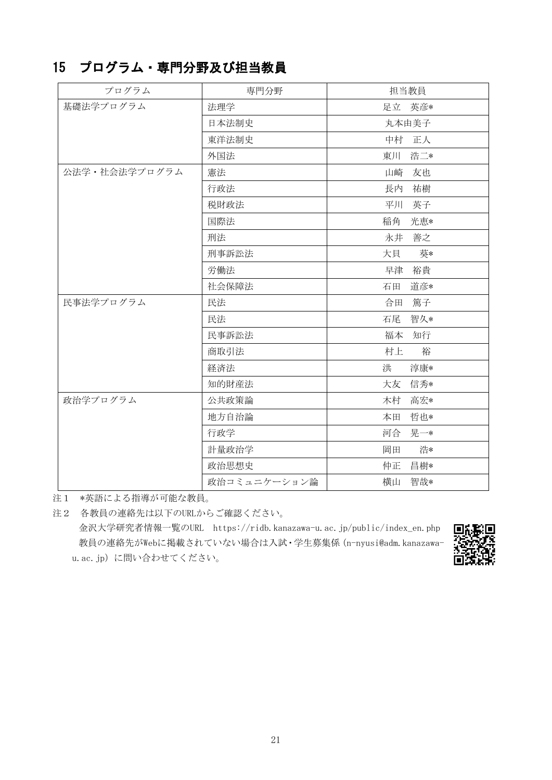## 15 プログラム・専門分野及び担当教員

| プログラム         | 専門分野         | 担当教員      |
|---------------|--------------|-----------|
| 基礎法学プログラム     | 法理学          | 足立 英彦*    |
|               | 日本法制史        | 丸本由美子     |
|               | 東洋法制史        | 中村<br>正人  |
|               | 外国法          | 東川<br>浩二* |
| 公法学・社会法学プログラム | 憲法           | 山崎<br>友也  |
|               | 行政法          | 長内<br>祐樹  |
|               | 税財政法         | 平川<br>英子  |
|               | 国際法          | 稲角<br>光恵* |
|               | 刑法           | 善之<br>永井  |
|               | 刑事訴訟法        | 葵*<br>大貝  |
|               | 労働法          | 裕貴<br>早津  |
|               | 社会保障法        | 石田<br>道彦* |
| 民事法学プログラム     | 民法           | 合田<br>篤子  |
|               | 民法           | 石尾<br>智久* |
|               | 民事訴訟法        | 福本 知行     |
|               | 商取引法         | 村上<br>裕   |
|               | 経済法          | 洪<br>淳康*  |
|               | 知的財産法        | 大友<br>信秀* |
| 政治学プログラム      | 公共政策論        | 木村<br>高宏* |
|               | 地方自治論        | 哲也*<br>本田 |
|               | 行政学          | 晃一*<br>河合 |
|               | 計量政治学        | 浩*<br>岡田  |
|               | 政治思想史        | 昌樹*<br>仲正 |
|               | 政治コミュニケーション論 | 智哉*<br>横山 |

注1 \*英語による指導が可能な教員。

注2 各教員の連絡先は以下のURLからご確認ください。 金沢大学研究者情報一覧のURL https://ridb.kanazawa-u.ac.jp/public/index\_en.php 教員の連絡先がWebに掲載されていない場合は入試・学生募集係(n-nyusi@adm.kanazawau. ac. jp)に問い合わせてください。